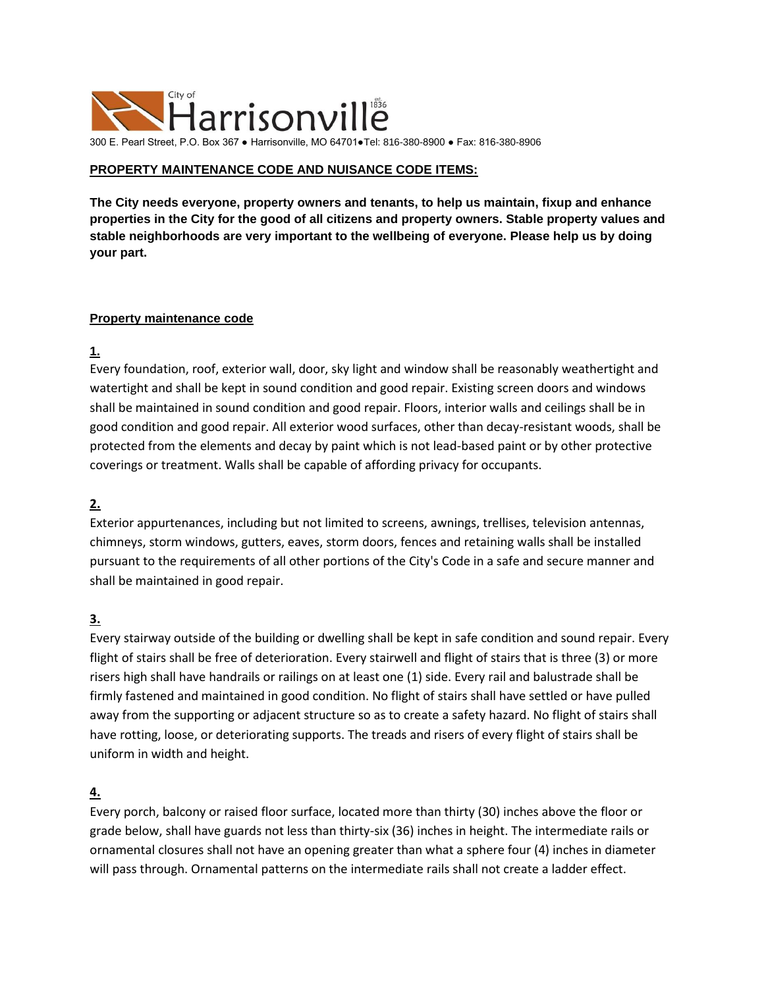

300 E. Pearl Street, P.O. Box 367 ● Harrisonville, MO 64701●Tel: 816-380-8900 ● Fax: 816-380-8906

### **PROPERTY MAINTENANCE CODE AND NUISANCE CODE ITEMS:**

**The City needs everyone, property owners and tenants, to help us maintain, fixup and enhance properties in the City for the good of all citizens and property owners. Stable property values and stable neighborhoods are very important to the wellbeing of everyone. Please help us by doing your part.**

#### **Property maintenance code**

**1.**

Every foundation, roof, exterior wall, door, sky light and window shall be reasonably weathertight and watertight and shall be kept in sound condition and good repair. Existing screen doors and windows shall be maintained in sound condition and good repair. Floors, interior walls and ceilings shall be in good condition and good repair. All exterior wood surfaces, other than decay-resistant woods, shall be protected from the elements and decay by paint which is not lead-based paint or by other protective coverings or treatment. Walls shall be capable of affording privacy for occupants.

## **2.**

Exterior appurtenances, including but not limited to screens, awnings, trellises, television antennas, chimneys, storm windows, gutters, eaves, storm doors, fences and retaining walls shall be installed pursuant to the requirements of all other portions of the City's Code in a safe and secure manner and shall be maintained in good repair.

## **3.**

Every stairway outside of the building or dwelling shall be kept in safe condition and sound repair. Every flight of stairs shall be free of deterioration. Every stairwell and flight of stairs that is three (3) or more risers high shall have handrails or railings on at least one (1) side. Every rail and balustrade shall be firmly fastened and maintained in good condition. No flight of stairs shall have settled or have pulled away from the supporting or adjacent structure so as to create a safety hazard. No flight of stairs shall have rotting, loose, or deteriorating supports. The treads and risers of every flight of stairs shall be uniform in width and height.

## **4.**

Every porch, balcony or raised floor surface, located more than thirty (30) inches above the floor or grade below, shall have guards not less than thirty-six (36) inches in height. The intermediate rails or ornamental closures shall not have an opening greater than what a sphere four (4) inches in diameter will pass through. Ornamental patterns on the intermediate rails shall not create a ladder effect.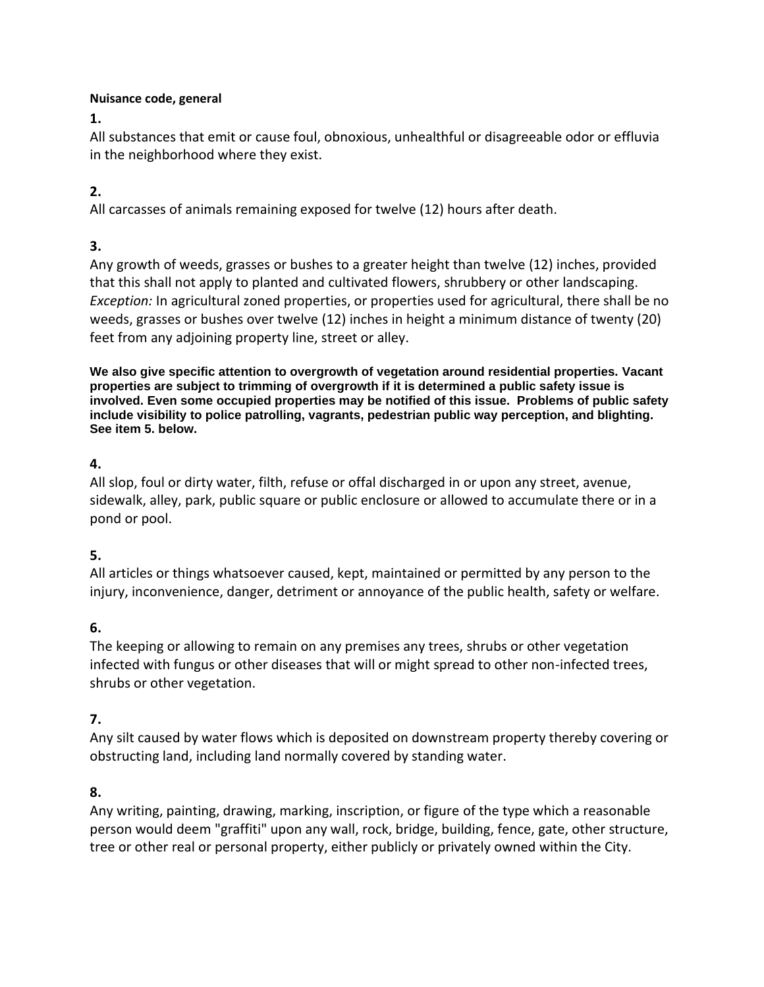## **Nuisance code, general**

**[1.](https://www.ecode360.com/27906995#27906995)**

All substances that emit or cause foul, obnoxious, unhealthful or disagreeable odor or effluvia in the neighborhood where they exist.

# **[2.](https://www.ecode360.com/27906996#27906996)**

All carcasses of animals remaining exposed for twelve (12) hours after death.

# **[3.](https://www.ecode360.com/27906997#27906997)**

Any growth of weeds, grasses or bushes to a greater height than twelve (12) inches, provided that this shall not apply to planted and cultivated flowers, shrubbery or other landscaping. *Exception:* In agricultural zoned properties, or properties used for agricultural, there shall be no weeds, grasses or bushes over twelve (12) inches in height a minimum distance of twenty (20) feet from any adjoining property line, street or alley.

**We also give specific attention to overgrowth of vegetation around residential properties. Vacant properties are subject to trimming of overgrowth if it is determined a public safety issue is involved. Even some occupied properties may be notified of this issue. Problems of public safety include visibility to police patrolling, vagrants, pedestrian public way perception, and blighting. See item 5. below.**

## **[4.](https://www.ecode360.com/27906998#27906998)**

All slop, foul or dirty water, filth, refuse or offal discharged in or upon any street, avenue, sidewalk, alley, park, public square or public enclosure or allowed to accumulate there or in a pond or pool.

## **[5.](https://www.ecode360.com/27906999#27906999)**

All articles or things whatsoever caused, kept, maintained or permitted by any person to the injury, inconvenience, danger, detriment or annoyance of the public health, safety or welfare.

## **[6.](https://www.ecode360.com/27907000#27907000)**

The keeping or allowing to remain on any premises any trees, shrubs or other vegetation infected with fungus or other diseases that will or might spread to other non-infected trees, shrubs or other vegetation.

## **[7.](https://www.ecode360.com/27907001#27907001)**

Any silt caused by water flows which is deposited on downstream property thereby covering or obstructing land, including land normally covered by standing water.

## **[8.](https://www.ecode360.com/27907002#27907002)**

Any writing, painting, drawing, marking, inscription, or figure of the type which a reasonable person would deem "graffiti" upon any wall, rock, bridge, building, fence, gate, other structure, tree or other real or personal property, either publicly or privately owned within the City.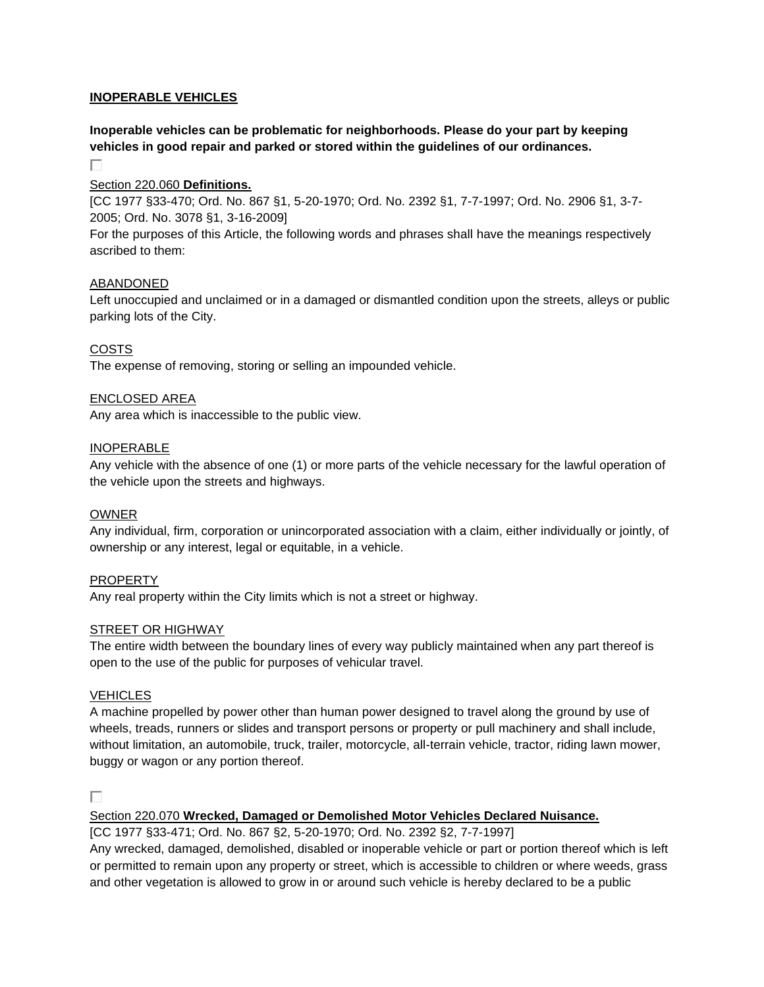#### **INOPERABLE VEHICLES**

## **Inoperable vehicles can be problematic for neighborhoods. Please do your part by keeping vehicles in good repair and parked or stored within the guidelines of our ordinances.**

П

#### [Section 220.060](https://www.ecode360.com/27907027#27907028) **Definitions.**

[CC 1977 §33-470; Ord. No. 867 §1, 5-20-1970; Ord. No. 2392 §1, 7-7-1997; Ord. No. 2906 §1, 3-7- 2005; Ord. No. 3078 §1, 3-16-2009]

For the purposes of this Article, the following words and phrases shall have the meanings respectively ascribed to them:

#### [ABANDONED](https://www.ecode360.com/27907029#27907029)

Left unoccupied and unclaimed or in a damaged or dismantled condition upon the streets, alleys or public parking lots of the City.

### [COSTS](https://www.ecode360.com/27907030#27907030)

The expense of removing, storing or selling an impounded vehicle.

#### [ENCLOSED AREA](https://www.ecode360.com/27907031#27907031)

Any area which is inaccessible to the public view.

#### [INOPERABLE](https://www.ecode360.com/27907032#27907032)

Any vehicle with the absence of one (1) or more parts of the vehicle necessary for the lawful operation of the vehicle upon the streets and highways.

#### [OWNER](https://www.ecode360.com/27907033#27907033)

Any individual, firm, corporation or unincorporated association with a claim, either individually or jointly, of ownership or any interest, legal or equitable, in a vehicle.

#### [PROPERTY](https://www.ecode360.com/27907034#27907034)

Any real property within the City limits which is not a street or highway.

#### [STREET OR HIGHWAY](https://www.ecode360.com/27907035#27907035)

The entire width between the boundary lines of every way publicly maintained when any part thereof is open to the use of the public for purposes of vehicular travel.

#### **[VEHICLES](https://www.ecode360.com/27907036#27907036)**

A machine propelled by power other than human power designed to travel along the ground by use of wheels, treads, runners or slides and transport persons or property or pull machinery and shall include, without limitation, an automobile, truck, trailer, motorcycle, all-terrain vehicle, tractor, riding lawn mower, buggy or wagon or any portion thereof.

П

#### Section 220.070 **[Wrecked, Damaged or Demolished Motor Vehicles Declared Nuisance.](https://www.ecode360.com/27907027#27907037)**

[CC 1977 §33-471; Ord. No. 867 §2, 5-20-1970; Ord. No. 2392 §2, 7-7-1997]

Any wrecked, damaged, demolished, disabled or inoperable vehicle or part or portion thereof which is left or permitted to remain upon any property or street, which is accessible to children or where weeds, grass and other vegetation is allowed to grow in or around such vehicle is hereby declared to be a public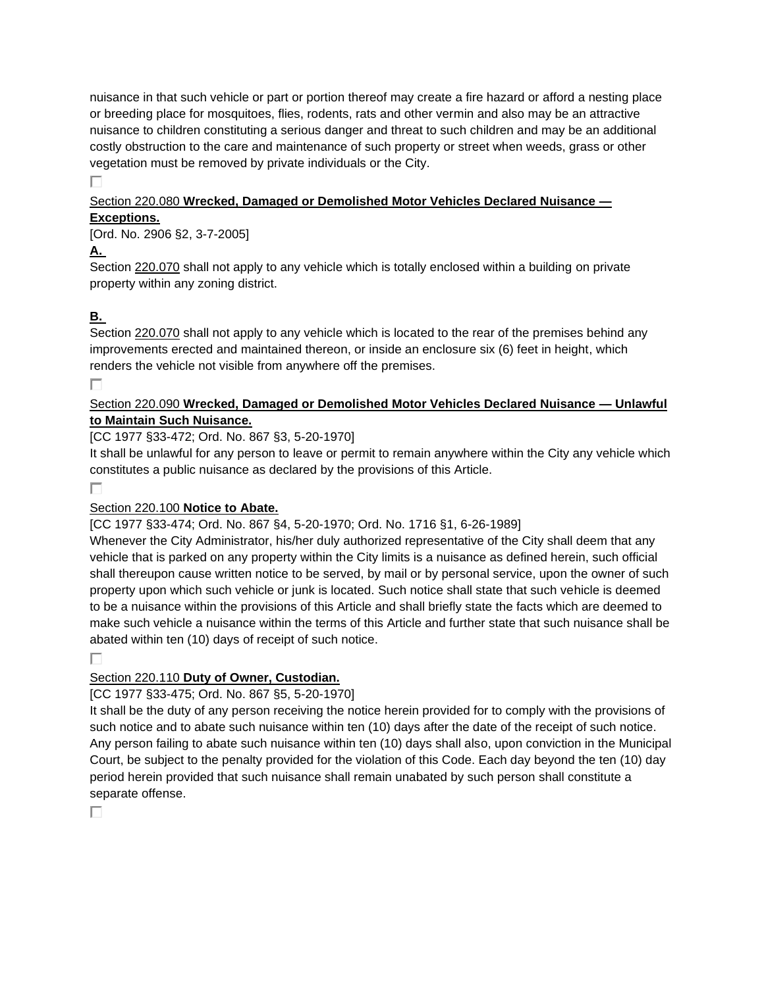nuisance in that such vehicle or part or portion thereof may create a fire hazard or afford a nesting place or breeding place for mosquitoes, flies, rodents, rats and other vermin and also may be an attractive nuisance to children constituting a serious danger and threat to such children and may be an additional costly obstruction to the care and maintenance of such property or street when weeds, grass or other vegetation must be removed by private individuals or the City.

П.

#### Section 220.080 **[Wrecked, Damaged or Demolished Motor Vehicles Declared Nuisance —](https://www.ecode360.com/27907027#27907038) [Exceptions.](https://www.ecode360.com/27907027#27907038)**

## [Ord. No. 2906 §2, 3-7-2005]

**[A.](https://www.ecode360.com/27907039#27907039)**

Section [220.070](https://www.ecode360.com/27907037#27907037) shall not apply to any vehicle which is totally enclosed within a building on private property within any zoning district.

# **[B.](https://www.ecode360.com/27907040#27907040)**

Section [220.070](https://www.ecode360.com/27907037#27907037) shall not apply to any vehicle which is located to the rear of the premises behind any improvements erected and maintained thereon, or inside an enclosure six (6) feet in height, which renders the vehicle not visible from anywhere off the premises.

П

## Section 220.090 **[Wrecked, Damaged or Demolished Motor Vehicles Declared Nuisance —](https://www.ecode360.com/27907027#27907041) Unlawful to [Maintain Such Nuisance.](https://www.ecode360.com/27907027#27907041)**

[CC 1977 §33-472; Ord. No. 867 §3, 5-20-1970]

It shall be unlawful for any person to leave or permit to remain anywhere within the City any vehicle which constitutes a public nuisance as declared by the provisions of this Article.

## П

## [Section 220.100](https://www.ecode360.com/27907027#27907042) **Notice to Abate.**

[CC 1977 §33-474; Ord. No. 867 §4, 5-20-1970; Ord. No. 1716 §1, 6-26-1989]

Whenever the City Administrator, his/her duly authorized representative of the City shall deem that any vehicle that is parked on any property within the City limits is a nuisance as defined herein, such official shall thereupon cause written notice to be served, by mail or by personal service, upon the owner of such property upon which such vehicle or junk is located. Such notice shall state that such vehicle is deemed to be a nuisance within the provisions of this Article and shall briefly state the facts which are deemed to make such vehicle a nuisance within the terms of this Article and further state that such nuisance shall be abated within ten (10) days of receipt of such notice.

#### П

## Section 220.110 **[Duty of Owner, Custodian.](https://www.ecode360.com/27907027#27907043)**

[CC 1977 §33-475; Ord. No. 867 §5, 5-20-1970]

It shall be the duty of any person receiving the notice herein provided for to comply with the provisions of such notice and to abate such nuisance within ten (10) days after the date of the receipt of such notice. Any person failing to abate such nuisance within ten (10) days shall also, upon conviction in the Municipal Court, be subject to the penalty provided for the violation of this Code. Each day beyond the ten (10) day period herein provided that such nuisance shall remain unabated by such person shall constitute a separate offense.

П.